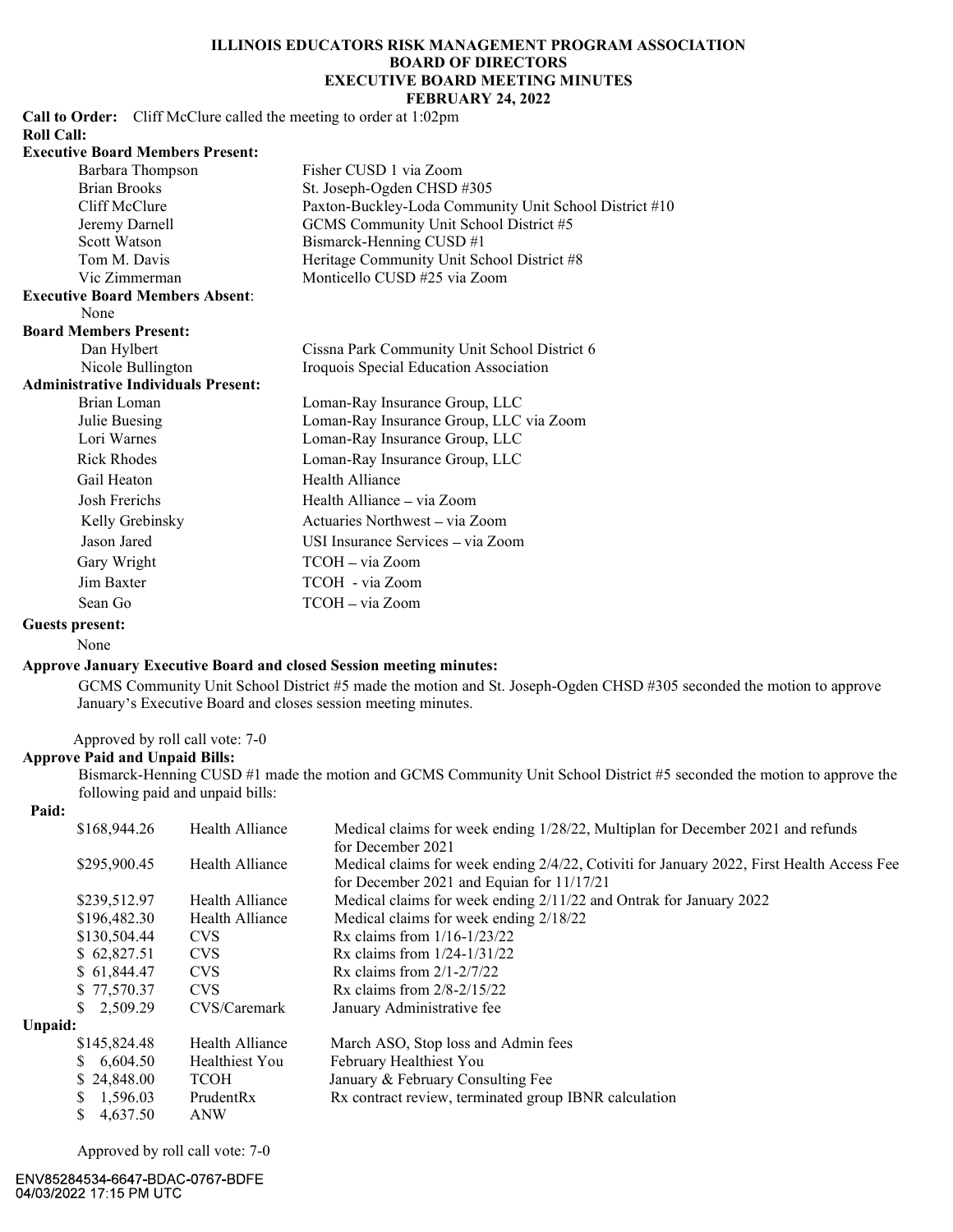# ILLINOIS EDUCATORS RISK MANAGEMENT PROGRAM ASSOCIATION BOARD OF DIRECTORS CATORS RISK MANAGEMENT PROGRAM ASSOCIATION<br>
BOARD OF DIRECTORS<br>
EXECUTIVE BOARD MEETING MINUTES<br>
FEBRUARY 24, 2022<br>
mg to order at 1:02pm<br>
ner CUSD 1 via Zoom<br>
MercUSD 1 via Zion FEBRUARY 24, 2022

Call to Order: Cliff McClure called the meeting to order at 1:02pm Roll Call:<br>Equipment of the line

| <b>Executive Board Members Present:</b>    |                                                        |
|--------------------------------------------|--------------------------------------------------------|
| Barbara Thompson                           | Fisher CUSD 1 via Zoom                                 |
| <b>Brian Brooks</b>                        | St. Joseph-Ogden CHSD #305                             |
| Cliff McClure                              | Paxton-Buckley-Loda Community Unit School District #10 |
| Jeremy Darnell                             | GCMS Community Unit School District #5                 |
| Scott Watson                               | Bismarck-Henning CUSD #1                               |
| Tom M. Davis                               | Heritage Community Unit School District #8             |
| Vic Zimmerman                              | Monticello CUSD #25 via Zoom                           |
| <b>Executive Board Members Absent:</b>     |                                                        |
| None                                       |                                                        |
| <b>Board Members Present:</b>              |                                                        |
| Dan Hylbert                                | Cissna Park Community Unit School District 6           |
| Nicole Bullington                          | Iroquois Special Education Association                 |
| <b>Administrative Individuals Present:</b> |                                                        |
| Brian Loman                                | Loman-Ray Insurance Group, LLC                         |
| Julie Buesing                              | Loman-Ray Insurance Group, LLC via Zoom                |
| Lori Warnes                                | Loman-Ray Insurance Group, LLC                         |
| <b>Rick Rhodes</b>                         | Loman-Ray Insurance Group, LLC                         |
| Gail Heaton                                | Health Alliance                                        |
| Josh Frerichs                              | Health Alliance – via Zoom                             |
| Kelly Grebinsky                            | Actuaries Northwest – via Zoom                         |
| Jason Jared                                | USI Insurance Services – via Zoom                      |
| Gary Wright                                | TCOH – via Zoom                                        |
| Jim Baxter                                 | TCOH - via Zoom                                        |
| Sean Go                                    | TCOH – via Zoom                                        |

## Guests present:

# Approve January Executive Board and closed Session meeting minutes:

# Approve Paid and Unpaid Bills:

# Paid:

|         | <b>INIUR INIUUUS</b>                                                     |                                  | L'OILIAII-Ray Illsurance Group, LLC                                                                                                                                                   |
|---------|--------------------------------------------------------------------------|----------------------------------|---------------------------------------------------------------------------------------------------------------------------------------------------------------------------------------|
|         | Gail Heaton                                                              |                                  | Health Alliance                                                                                                                                                                       |
|         | Josh Frerichs                                                            |                                  | Health Alliance - via Zoom                                                                                                                                                            |
|         | Kelly Grebinsky                                                          |                                  | Actuaries Northwest - via Zoom                                                                                                                                                        |
|         | Jason Jared                                                              |                                  | USI Insurance Services - via Zoom                                                                                                                                                     |
|         | Gary Wright                                                              |                                  | TCOH - via Zoom                                                                                                                                                                       |
|         | Jim Baxter                                                               |                                  | TCOH - via Zoom                                                                                                                                                                       |
|         | Sean Go                                                                  |                                  | TCOH - via Zoom                                                                                                                                                                       |
|         | <b>Guests present:</b>                                                   |                                  |                                                                                                                                                                                       |
|         | None                                                                     |                                  |                                                                                                                                                                                       |
|         |                                                                          |                                  | <b>Approve January Executive Board and closed Session meeting minutes:</b>                                                                                                            |
|         |                                                                          |                                  | GCMS Community Unit School District #5 made the motion and St. Joseph-Ogden CHSD #305 seconded the motion to approve<br>January's Executive Board and closes session meeting minutes. |
|         | Approved by roll call vote: 7-0<br><b>Approve Paid and Unpaid Bills:</b> | following paid and unpaid bills: | Bismarck-Henning CUSD #1 made the motion and GCMS Community Unit School District #5 seconded the motion to approve the                                                                |
| Paid:   |                                                                          |                                  |                                                                                                                                                                                       |
|         | \$168,944.26                                                             | Health Alliance                  | Medical claims for week ending 1/28/22, Multiplan for December 2021 and refunds<br>for December 2021                                                                                  |
|         | \$295,900.45                                                             | Health Alliance                  | Medical claims for week ending 2/4/22, Cotiviti for January 2022, First Health Access Fee<br>for December 2021 and Equian for 11/17/21                                                |
|         | \$239,512.97                                                             | Health Alliance                  | Medical claims for week ending 2/11/22 and Ontrak for January 2022                                                                                                                    |
|         | \$196,482.30                                                             | Health Alliance                  | Medical claims for week ending 2/18/22                                                                                                                                                |
|         | \$130,504.44                                                             | <b>CVS</b>                       | Rx claims from 1/16-1/23/22                                                                                                                                                           |
|         | \$62,827.51                                                              | <b>CVS</b>                       | Rx claims from 1/24-1/31/22                                                                                                                                                           |
|         | \$61,844.47                                                              | <b>CVS</b>                       | Rx claims from $2/1 - 2/7/22$                                                                                                                                                         |
|         | \$77,570.37                                                              | <b>CVS</b>                       | Rx claims from 2/8-2/15/22                                                                                                                                                            |
|         | \$2,509.29                                                               | CVS/Caremark                     | January Administrative fee                                                                                                                                                            |
| Unpaid: |                                                                          |                                  |                                                                                                                                                                                       |
|         | \$145,824.48                                                             | Health Alliance                  | March ASO, Stop loss and Admin fees                                                                                                                                                   |
|         | \$6,604.50                                                               | Healthiest You                   | February Healthiest You                                                                                                                                                               |
|         | \$24,848.00<br>1,596.03                                                  | <b>TCOH</b><br>PrudentRx         | January & February Consulting Fee<br>Rx contract review, terminated group IBNR calculation                                                                                            |
|         | \$4,637.50                                                               | <b>ANW</b>                       |                                                                                                                                                                                       |
|         |                                                                          |                                  |                                                                                                                                                                                       |

Approved by roll call vote: 7-0